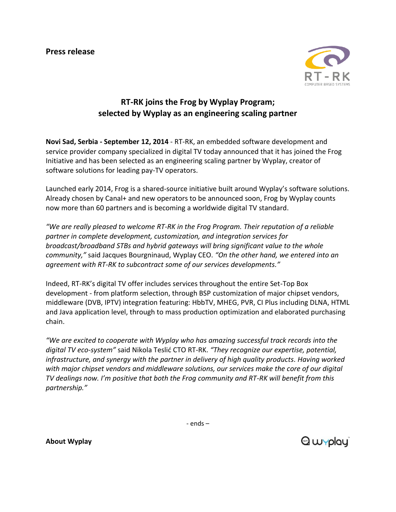**Press release**



## **RT-RK joins the Frog by Wyplay Program; selected by Wyplay as an engineering scaling partner**

**Novi Sad, Serbia - September 12, 2014** - RT-RK, an embedded software development and service provider company specialized in digital TV today announced that it has joined the Frog Initiative and has been selected as an engineering scaling partner by Wyplay, creator of software solutions for leading pay-TV operators.

Launched early 2014, Frog is a shared-source initiative built around Wyplay's software solutions. Already chosen by Canal+ and new operators to be announced soon, Frog by Wyplay counts now more than 60 partners and is becoming a worldwide digital TV standard.

*"We are really pleased to welcome RT-RK in the Frog Program. Their reputation of a reliable partner in complete development, customization, and integration services for broadcast/broadband STBs and hybrid gateways will bring significant value to the whole community,"* said Jacques Bourgninaud, Wyplay CEO. *"On the other hand, we entered into an agreement with RT-RK to subcontract some of our services developments."*

Indeed, RT-RK's digital TV offer includes services throughout the entire Set-Top Box development - from platform selection, through BSP customization of major chipset vendors, middleware (DVB, IPTV) integration featuring: HbbTV, MHEG, PVR, CI Plus including DLNA, HTML and Java application level, through to mass production optimization and elaborated purchasing chain.

*"We are excited to cooperate with Wyplay who has amazing successful track records into the digital TV eco-system"* said Nikola Teslić CTO RT-RK. *"They recognize our expertise, potential, infrastructure, and synergy with the partner in delivery of high quality products. Having worked with major chipset vendors and middleware solutions, our services make the core of our digital TV dealings now. I'm positive that both the Frog community and RT-RK will benefit from this partnership."*

- ends –

**About Wyplay**